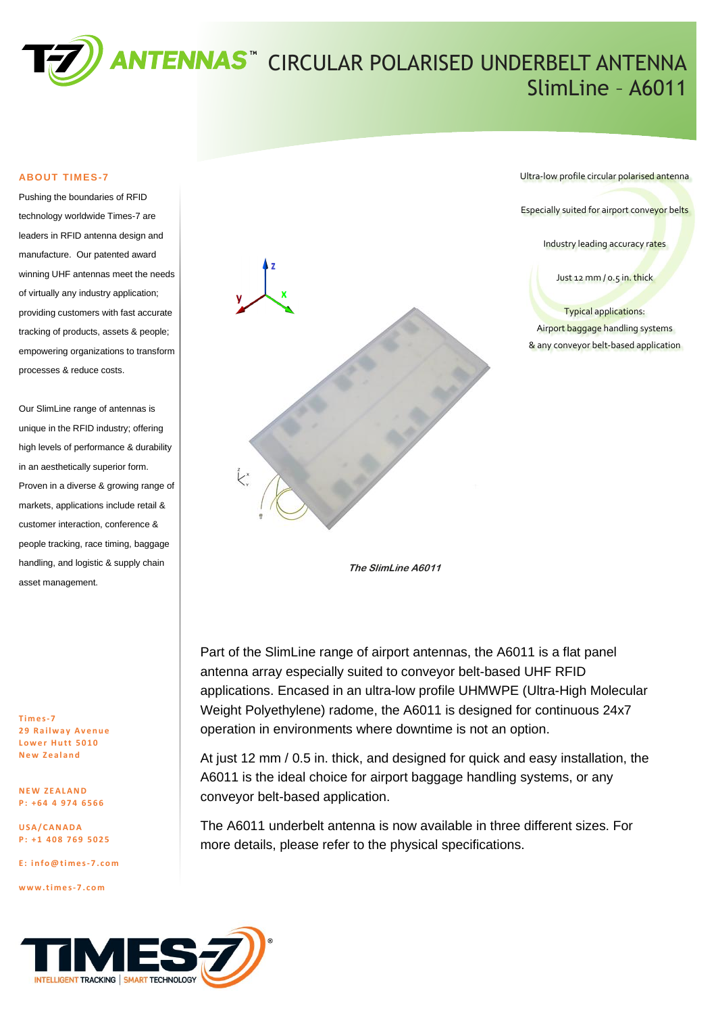

#### **ABOUT TIMES-7**

Pushing the boundaries of RFID technology worldwide Times-7 are leaders in RFID antenna design and manufacture. Our patented award winning UHF antennas meet the needs of virtually any industry application; providing customers with fast accurate tracking of products, assets & people; empowering organizations to transform processes & reduce costs.

Our SlimLine range of antennas is unique in the RFID industry; offering high levels of performance & durability in an aesthetically superior form. Proven in a diverse & growing range of markets, applications include retail & customer interaction, conference & people tracking, race timing, baggage handling, and logistic & supply chain asset management.

**T i m e s-7 2 9 R a i l w a y A v e n u e Lower Hutt 5010 N e w Z e a l a n d**

**N E W Z E A L A N D P : + 6 4 4 9 7 4 6 5 6 6**

**U S A / C A N A D A P : + 1 4 0 8 7 6 9 5 0 2 5**

**E : [i n f o @ t i m e s-7 . c o m](mailto:info@times-7.com)**

**w w w . t i m e s-7 . c o m**



Ultra-low profile circular polarised antenna

Especially suited for airport conveyor belts

Industry leading accuracy rates

Just 12 mm / 0.5 in. thick

Typical applications: Airport baggage handling systems & any conveyor belt-based application

**The SlimLine A6011**

Part of the SlimLine range of airport antennas, the A6011 is a flat panel antenna array especially suited to conveyor belt-based UHF RFID applications. Encased in an ultra-low profile UHMWPE (Ultra-High Molecular Weight Polyethylene) radome, the A6011 is designed for continuous 24x7 operation in environments where downtime is not an option.

At just 12 mm / 0.5 in. thick, and designed for quick and easy installation, the A6011 is the ideal choice for airport baggage handling systems, or any conveyor belt-based application.

The A6011 underbelt antenna is now available in three different sizes. For more details, please refer to the physical specifications.

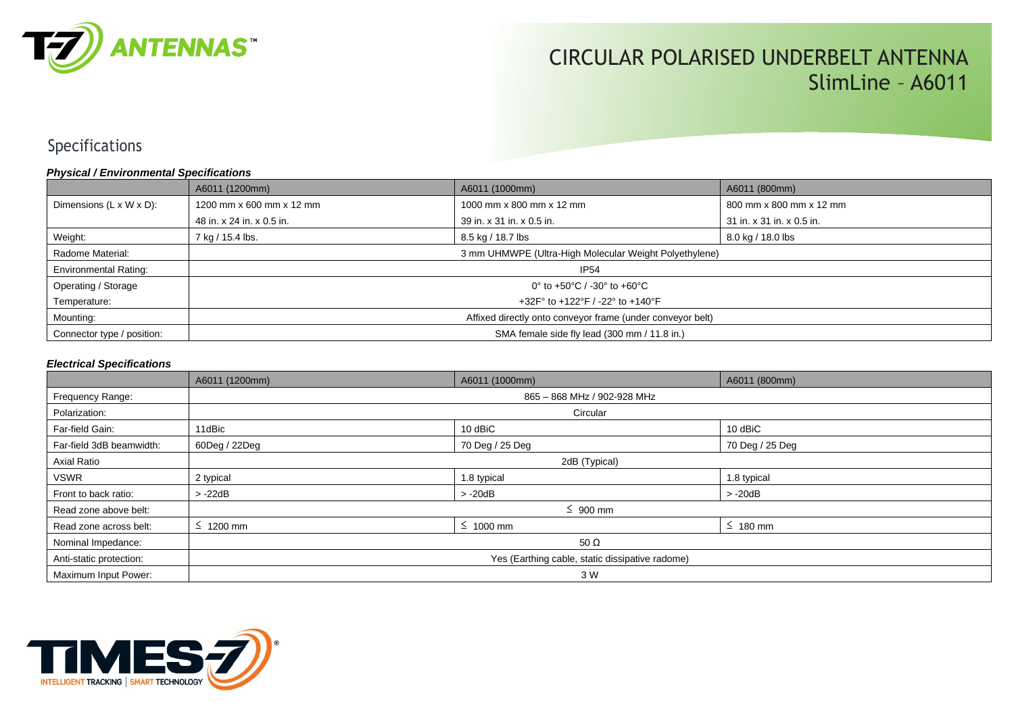

# CIRCULAR POLARISED UNDERBELT ANTENNA SlimLine – A6011

## Specifications

#### *Physical / Environmental Specifications*

|                              | A6011 (1200mm)                                                             | A6011 (1000mm)            | A6011 (800mm)             |  |
|------------------------------|----------------------------------------------------------------------------|---------------------------|---------------------------|--|
| Dimensions (L x W x D):      | 1200 mm x 600 mm x 12 mm                                                   | 1000 mm x 800 mm x 12 mm  | 800 mm x 800 mm x 12 mm   |  |
|                              | 48 in. x 24 in. x 0.5 in.                                                  | 39 in. x 31 in. x 0.5 in. | 31 in. x 31 in. x 0.5 in. |  |
| Weight:                      | 7 kg / 15.4 lbs.                                                           | 8.5 kg / 18.7 lbs         | 8.0 kg / 18.0 lbs         |  |
| Radome Material:             | 3 mm UHMWPE (Ultra-High Molecular Weight Polyethylene)                     |                           |                           |  |
| <b>Environmental Rating:</b> | <b>IP54</b>                                                                |                           |                           |  |
| Operating / Storage          | 0° to +50°C / -30° to +60°C                                                |                           |                           |  |
| Temperature:                 | +32F $^{\circ}$ to +122 $^{\circ}$ F / -22 $^{\circ}$ to +140 $^{\circ}$ F |                           |                           |  |
| Mounting:                    | Affixed directly onto conveyor frame (under conveyor belt)                 |                           |                           |  |
| Connector type / position:   | SMA female side fly lead (300 mm / 11.8 in.)                               |                           |                           |  |

#### *Electrical Specifications*

|                          | A6011 (1200mm)                                  | A6011 (1000mm)  | A6011 (800mm)   |  |
|--------------------------|-------------------------------------------------|-----------------|-----------------|--|
| Frequency Range:         | 865 - 868 MHz / 902-928 MHz                     |                 |                 |  |
| Polarization:            | Circular                                        |                 |                 |  |
| Far-field Gain:          | 11dBic                                          | 10 dBiC         | 10 dBiC         |  |
| Far-field 3dB beamwidth: | 60Deg / 22Deg                                   | 70 Deg / 25 Deg | 70 Deg / 25 Deg |  |
| <b>Axial Ratio</b>       | 2dB (Typical)                                   |                 |                 |  |
| <b>VSWR</b>              | 2 typical                                       | 1.8 typical     | 1.8 typical     |  |
| Front to back ratio:     | $> -22dB$                                       | $> -20dB$       | $> -20dB$       |  |
| Read zone above belt:    | $\leq 900$ mm                                   |                 |                 |  |
| Read zone across belt:   | $\leq$ 1200 mm                                  | $\leq$ 1000 mm  | $\leq$ 180 mm   |  |
| Nominal Impedance:       | 50 $\Omega$                                     |                 |                 |  |
| Anti-static protection:  | Yes (Earthing cable, static dissipative radome) |                 |                 |  |
| Maximum Input Power:     | 3 W                                             |                 |                 |  |

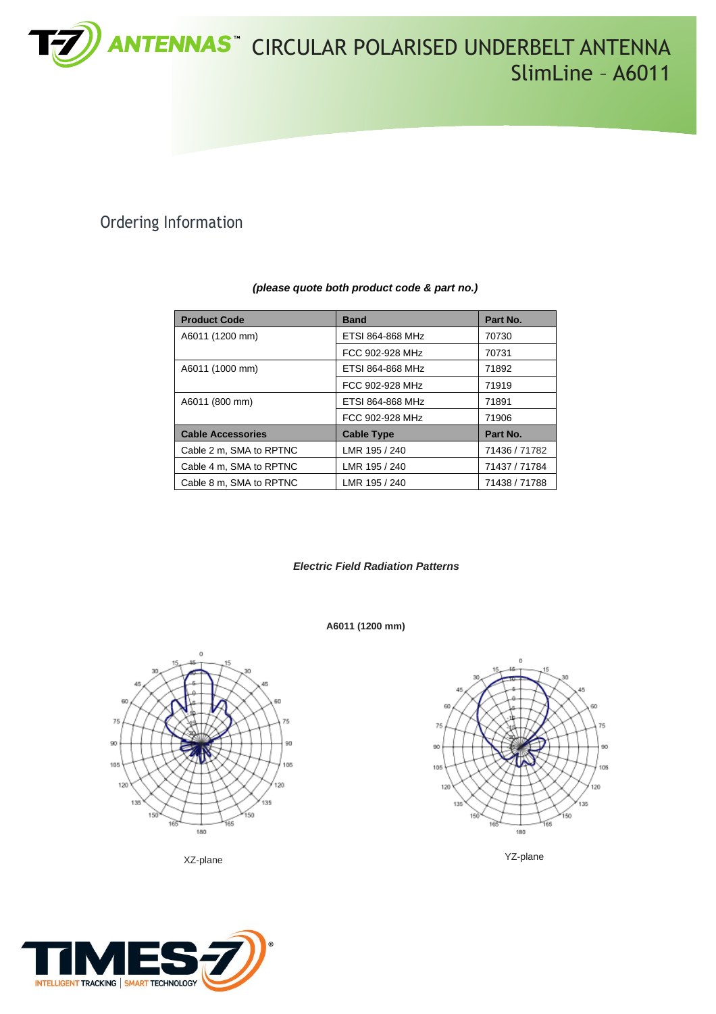

## Ordering Information

| <b>Product Code</b>      | <b>Band</b>       | Part No.      |
|--------------------------|-------------------|---------------|
| A6011 (1200 mm)          | ETSI 864-868 MHz  | 70730         |
|                          | FCC 902-928 MHz   | 70731         |
| A6011 (1000 mm)          | ETSI 864-868 MHz  | 71892         |
|                          | FCC 902-928 MHz   | 71919         |
| A6011 (800 mm)           | ETSI 864-868 MHz  | 71891         |
|                          | FCC 902-928 MHz   | 71906         |
| <b>Cable Accessories</b> | <b>Cable Type</b> | Part No.      |
| Cable 2 m, SMA to RPTNC  | LMR 195 / 240     | 71436 / 71782 |
| Cable 4 m, SMA to RPTNC  | LMR 195 / 240     | 71437 / 71784 |
| Cable 8 m, SMA to RPTNC  | LMR 195 / 240     | 71438 / 71788 |

#### *(please quote both product code & part no.)*

*Electric Field Radiation Patterns*

**A6011 (1200 mm)**



XZ-plane YZ-plane



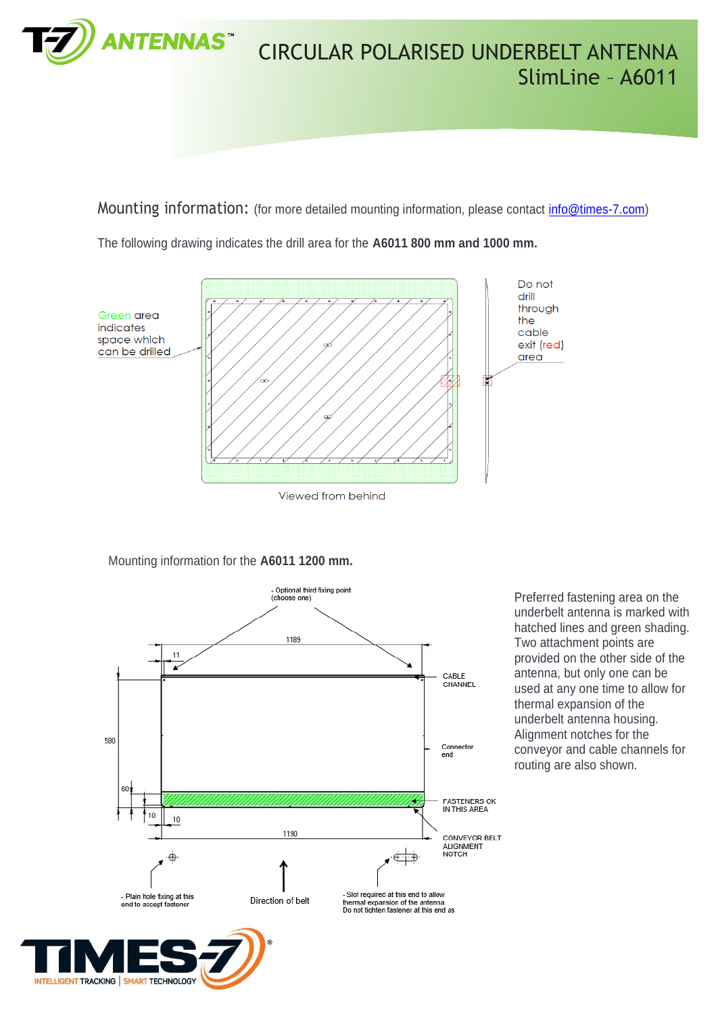

Mounting information: (for more detailed mounting information, please contact [info@times-7.com\)](mailto:info@times-7.com)

The following drawing indicates the drill area for the **A6011 800 mm and 1000 mm.**



Viewed from behind

Mounting information for the **A6011 1200 mm.**



Preferred fastening area on the underbelt antenna is marked with hatched lines and green shading. Two attachment points are provided on the other side of the antenna, but only one can be used at any one time to allow for thermal expansion of the underbelt antenna housing. Alignment notches for the conveyor and cable channels for routing are also shown.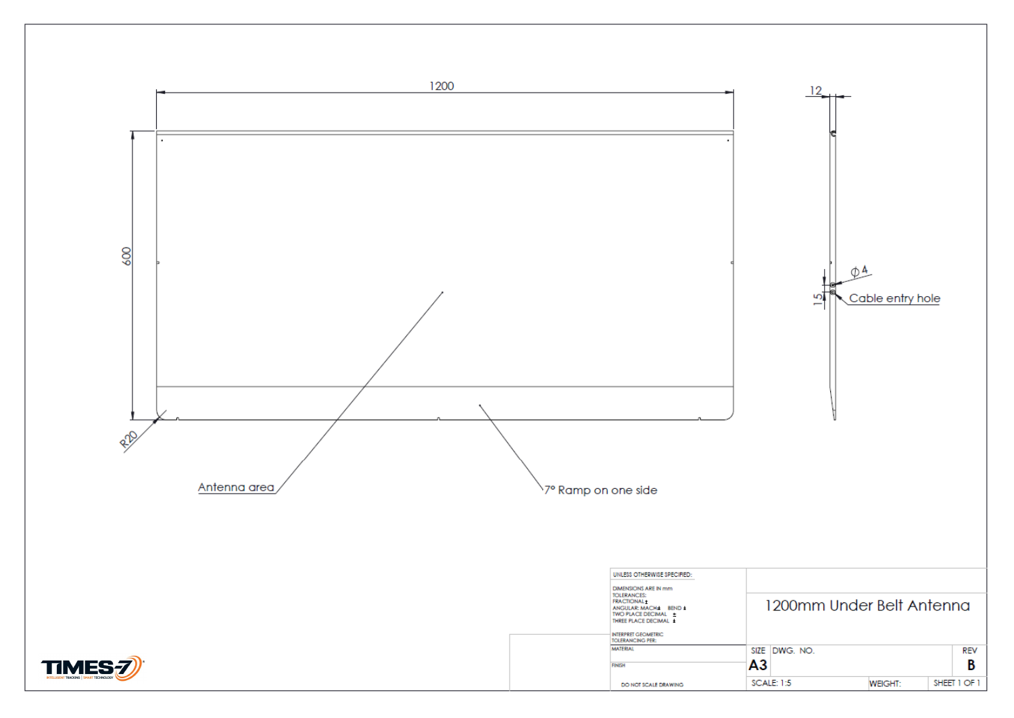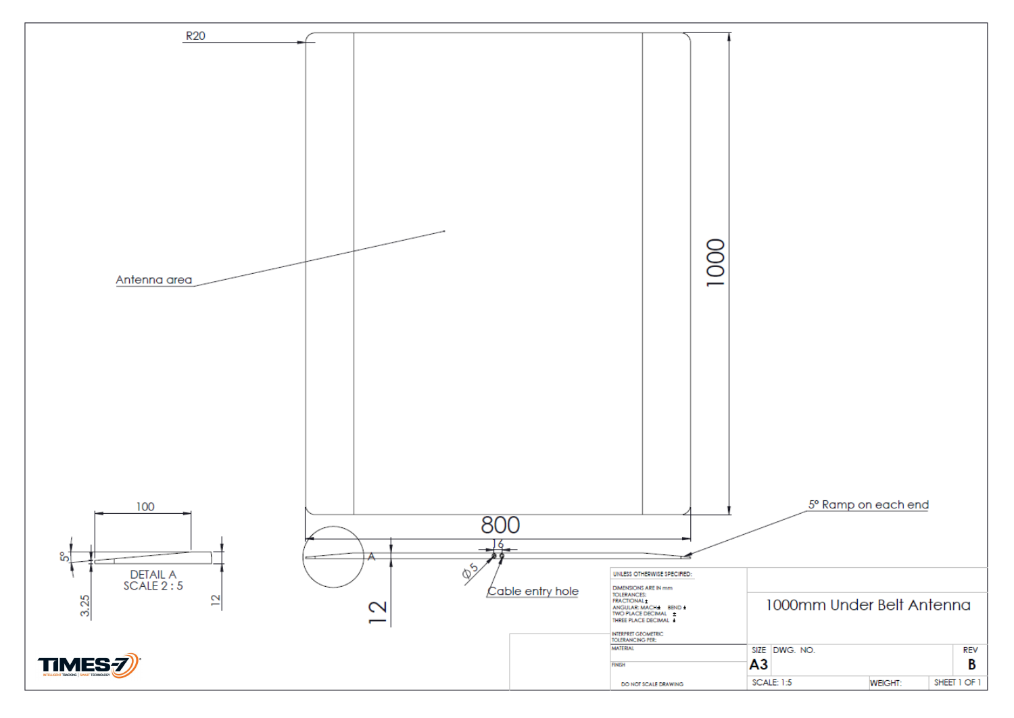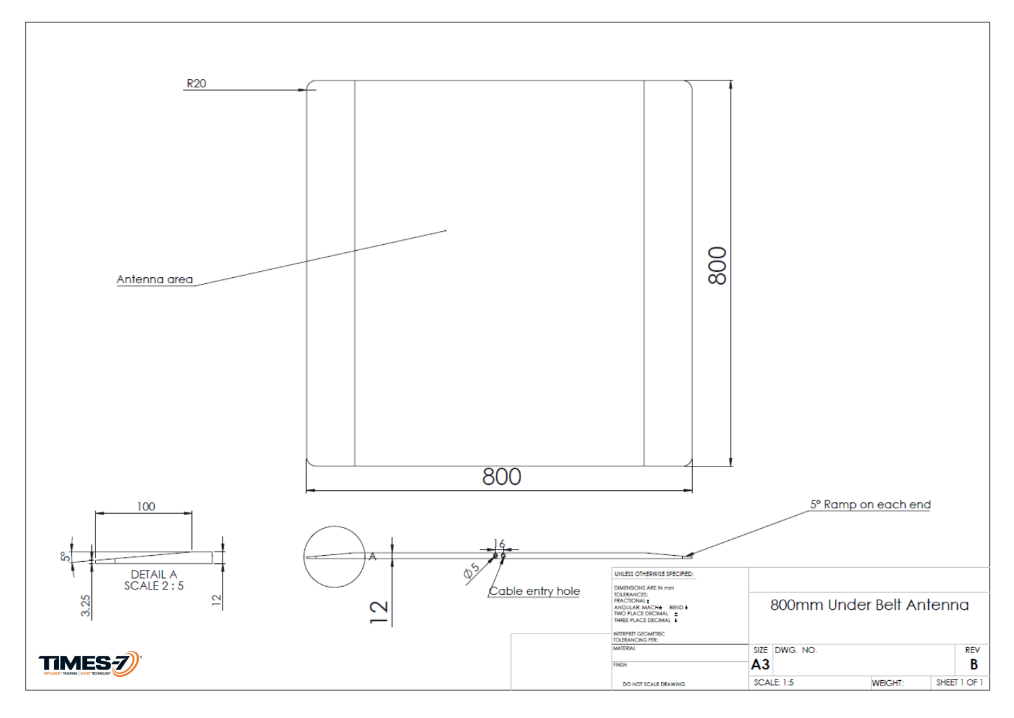